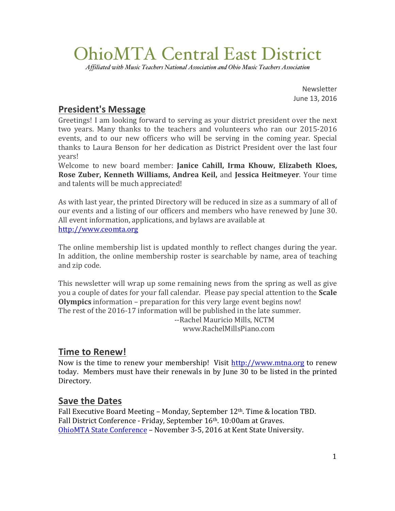# OhioMTA Central East District

*Affiliated with Music Teachers National Association and Ohio Music Teachers Association*

Newsletter June 13, 2016

## **President's Message**

Greetings! I am looking forward to serving as your district president over the next two vears. Many thanks to the teachers and volunteers who ran our 2015-2016 events, and to our new officers who will be serving in the coming year. Special thanks to Laura Benson for her dedication as District President over the last four years!

Welcome to new board member: Janice Cahill, Irma Khouw, Elizabeth Kloes, **Rose Zuber, Kenneth Williams, Andrea Keil, and Jessica Heitmeyer.** Your time and talents will be much appreciated!

As with last year, the printed Directory will be reduced in size as a summary of all of our events and a listing of our officers and members who have renewed by June 30. All event information, applications, and bylaws are available at http://www.ceomta.org

The online membership list is updated monthly to reflect changes during the year. In addition, the online membership roster is searchable by name, area of teaching and zip code.

This newsletter will wrap up some remaining news from the spring as well as give you a couple of dates for your fall calendar. Please pay special attention to the **Scale Olympics** information – preparation for this very large event begins now! The rest of the 2016-17 information will be published in the late summer. --Rachel Mauricio Mills, NCTM www.RachelMillsPiano.com

## **Time to Renew!**

Now is the time to renew your membership! Visit http://www.mtna.org to renew today. Members must have their renewals in by June 30 to be listed in the printed Directory.

#### **Save the Dates**

Fall Executive Board Meeting - Monday, September 12<sup>th</sup>. Time & location TBD. Fall District Conference - Friday, September 16th. 10:00am at Graves. OhioMTA State Conference - November 3-5, 2016 at Kent State University.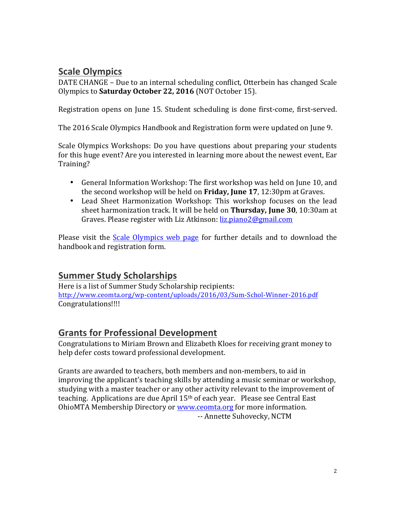## **Scale Olympics**

DATE CHANGE – Due to an internal scheduling conflict, Otterbein has changed Scale Olympics to **Saturday October 22, 2016** (NOT October 15). 

Registration opens on June 15. Student scheduling is done first-come, first-served.

The 2016 Scale Olympics Handbook and Registration form were updated on June 9.

Scale Olympics Workshops: Do you have questions about preparing your students for this huge event? Are you interested in learning more about the newest event, Ear Training?

- General Information Workshop: The first workshop was held on June 10, and the second workshop will be held on **Friday, June 17**, 12:30pm at Graves.
- Lead Sheet Harmonization Workshop: This workshop focuses on the lead sheet harmonization track. It will be held on **Thursday, June 30**, 10:30am at Graves. Please register with Liz Atkinson: liz.piano2@gmail.com

Please visit the **Scale Olympics web page** for further details and to download the handbook and registration form.

## **Summer Study Scholarships**

Here is a list of Summer Study Scholarship recipients: http://www.ceomta.org/wp-content/uploads/2016/03/Sum-Schol-Winner-2016.pdf Congratulations!!!!

#### **Grants for Professional Development**

Congratulations to Miriam Brown and Elizabeth Kloes for receiving grant money to help defer costs toward professional development.

Grants are awarded to teachers, both members and non-members, to aid in improving the applicant's teaching skills by attending a music seminar or workshop, studying with a master teacher or any other activity relevant to the improvement of teaching. Applications are due April  $15<sup>th</sup>$  of each year. Please see Central East OhioMTA Membership Directory or www.ceomta.org for more information. -- Annette Suhovecky, NCTM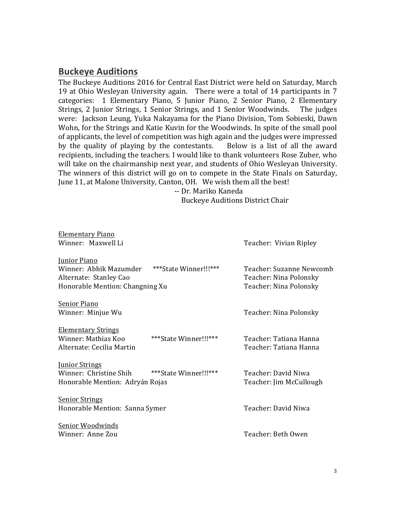#### **Buckeye Auditions**

The Buckeye Auditions 2016 for Central East District were held on Saturday, March 19 at Ohio Wesleyan University again. There were a total of 14 participants in 7 categories: 1 Elementary Piano, 5 Iunior Piano, 2 Senior Piano, 2 Elementary Strings, 2 Junior Strings, 1 Senior Strings, and 1 Senior Woodwinds. The judges were: Jackson Leung, Yuka Nakayama for the Piano Division, Tom Sobieski, Dawn Wohn, for the Strings and Katie Kuvin for the Woodwinds. In spite of the small pool of applicants, the level of competition was high again and the judges were impressed by the quality of playing by the contestants. Below is a list of all the award recipients, including the teachers. I would like to thank volunteers Rose Zuber, who will take on the chairmanship next year, and students of Ohio Wesleyan University. The winners of this district will go on to compete in the State Finals on Saturday, June 11, at Malone University, Canton, OH. We wish them all the best!

-- Dr. Mariko Kaneda Buckeye Auditions District Chair

| Elementary Piano                |                       |                          |
|---------------------------------|-----------------------|--------------------------|
| Winner: Maxwell Li              |                       | Teacher: Vivian Ripley   |
| Junior Piano                    |                       |                          |
| Winner: Abhik Mazumder          | ***State Winner!!!*** | Teacher: Suzanne Newcomb |
| Alternate: Stanley Cao          |                       | Teacher: Nina Polonsky   |
| Honorable Mention: Changning Xu |                       | Teacher: Nina Polonsky   |
| Senior Piano                    |                       |                          |
| Winner: Minjue Wu               |                       | Teacher: Nina Polonsky   |
| <b>Elementary Strings</b>       |                       |                          |
| Winner: Mathias Koo             | ***State Winner!!!*** | Teacher: Tatiana Hanna   |
| Alternate: Cecilia Martin       |                       | Teacher: Tatiana Hanna   |
| <b>Junior Strings</b>           |                       |                          |
| Winner: Christine Shih          | ***State Winner!!!*** | Teacher: David Niwa      |
| Honorable Mention: Adryán Rojas |                       | Teacher: Jim McCullough  |
| <b>Senior Strings</b>           |                       |                          |
| Honorable Mention: Sanna Symer  |                       | Teacher: David Niwa      |
| Senior Woodwinds                |                       |                          |
| Winner: Anne Zou                |                       | Teacher: Beth Owen       |
|                                 |                       |                          |